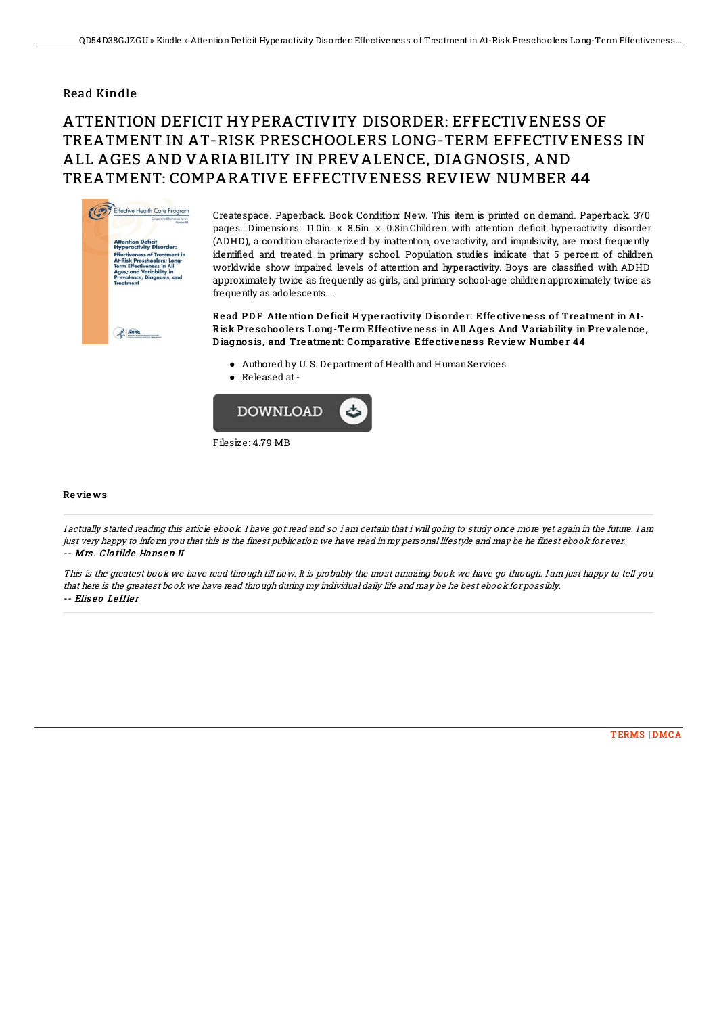## Read Kindle

## ATTENTION DEFICIT HYPERACTIVITY DISORDER: EFFECTIVENESS OF TREATMENT IN AT-RISK PRESCHOOLERS LONG-TERM EFFECTIVENESS IN ALL AGES AND VARIABILITY IN PREVALENCE, DIAGNOSIS, AND TREATMENT: COMPARATIVE EFFECTIVENESS REVIEW NUMBER 44



Createspace. Paperback. Book Condition: New. This item is printed on demand. Paperback. 370 pages. Dimensions: 11.0in x 8.5in x 0.8in.Children with attention deficit hyperactivity disorder (ADHD), a condition characterized by inattention, overactivity, and impulsivity, are most frequently identified and treated in primary school. Population studies indicate that 5 percent of children worldwide show impaired levels of attention and hyperactivity. Boys are classified with ADHD approximately twice as frequently as girls, and primary school-age children approximately twice as frequently as adolescents....

Read PDF Attention Deficit Hyperactivity Disorder: Effectiveness of Treatment in At-Risk Preschoolers Long-Term Effectiveness in All Ages And Variability in Prevalence, D iagno sis, and Tre atme nt: Comparative Effe ctive ne ss Re vie w Numbe r 44

- Authored by U. S. Department of Healthand HumanServices
- Released at-



Re vie ws

I actually started reading this article ebook. I have got read and so i am certain that i will going to study once more yet again in the future. I am just very happy to inform you that this is the finest publication we have read in my personal lifestyle and may be he finest ebook for ever. -- Mrs . Clo tilde Hans en II

This is the greatest book we have read through till now. It is probably the most amazing book we have go through. I am just happy to tell you that here is the greatest book we have read through during my individual daily life and may be he best ebook for possibly. -- Eliseo Leffler